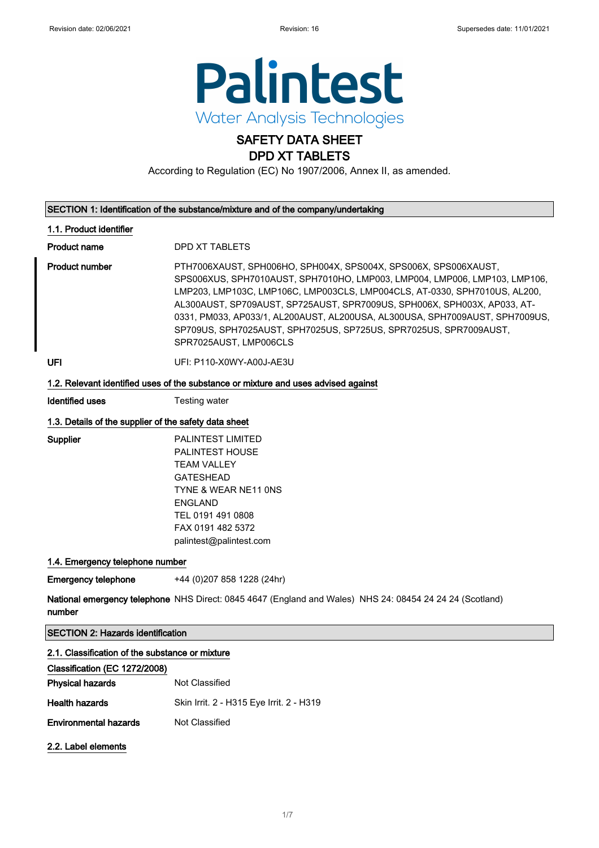

### SAFETY DATA SHEET DPD XT TABLETS

According to Regulation (EC) No 1907/2006, Annex II, as amended.

| SECTION 1: Identification of the substance/mixture and of the company/undertaking |  |
|-----------------------------------------------------------------------------------|--|
|                                                                                   |  |

### 1.1. Product identifier

Product name DPD XT TABLETS

Product number **PTH7006XAUST, SPH006HO, SPH004X, SPS004X, SPS006X, SPS006XAUST,** SPS006XUS, SPH7010AUST, SPH7010HO, LMP003, LMP004, LMP006, LMP103, LMP106, LMP203, LMP103C, LMP106C, LMP003CLS, LMP004CLS, AT-0330, SPH7010US, AL200, AL300AUST, SP709AUST, SP725AUST, SPR7009US, SPH006X, SPH003X, AP033, AT-0331, PM033, AP033/1, AL200AUST, AL200USA, AL300USA, SPH7009AUST, SPH7009US, SP709US, SPH7025AUST, SPH7025US, SP725US, SPR7025US, SPR7009AUST, SPR7025AUST, LMP006CLS

UFI: P110-X0WY-A00J-AE3U

### 1.2. Relevant identified uses of the substance or mixture and uses advised against

Identified uses Testing water

### 1.3. Details of the supplier of the safety data sheet

Supplier PALINTEST LIMITED PALINTEST HOUSE TEAM VALLEY GATESHEAD TYNE & WEAR NE11 0NS ENGLAND TEL 0191 491 0808 FAX 0191 482 5372 palintest@palintest.com

### 1.4. Emergency telephone number

**Emergency telephone** +44 (0)207 858 1228 (24hr)

**National emergency telephone** NHS Direct: 0845 4647 (England and Wales) NHS 24: 08454 24 24 24 (Scotland) number

SECTION 2: Hazards identification

### 2.1. Classification of the substance or mixture

| Classification (EC 1272/2008) |                                          |
|-------------------------------|------------------------------------------|
| <b>Physical hazards</b>       | Not Classified                           |
| <b>Health hazards</b>         | Skin Irrit. 2 - H315 Eye Irrit. 2 - H319 |
| <b>Environmental hazards</b>  | Not Classified                           |
|                               |                                          |

2.2. Label elements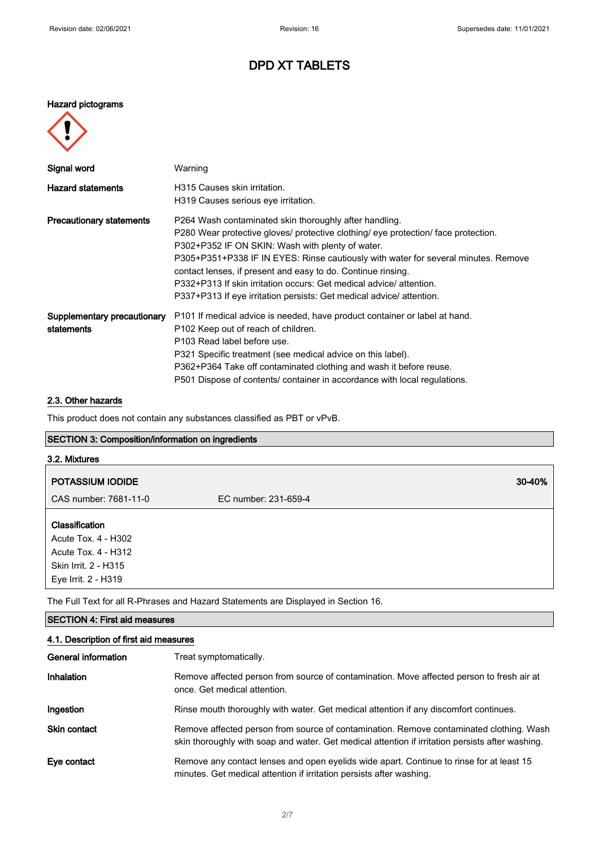### Hazard pictograms



| Signal word                               | Warning                                                                                                                                                                                                                                                                                                                                                                                                                                                                                              |
|-------------------------------------------|------------------------------------------------------------------------------------------------------------------------------------------------------------------------------------------------------------------------------------------------------------------------------------------------------------------------------------------------------------------------------------------------------------------------------------------------------------------------------------------------------|
| <b>Hazard statements</b>                  | H315 Causes skin irritation.<br>H319 Causes serious eye irritation.                                                                                                                                                                                                                                                                                                                                                                                                                                  |
| <b>Precautionary statements</b>           | P264 Wash contaminated skin thoroughly after handling.<br>P280 Wear protective gloves/ protective clothing/ eye protection/ face protection.<br>P302+P352 IF ON SKIN: Wash with plenty of water.<br>P305+P351+P338 IF IN EYES: Rinse cautiously with water for several minutes. Remove<br>contact lenses, if present and easy to do. Continue rinsing.<br>P332+P313 If skin irritation occurs: Get medical advice/ attention.<br>P337+P313 If eye irritation persists: Get medical advice/attention. |
| Supplementary precautionary<br>statements | P101 If medical advice is needed, have product container or label at hand.<br>P <sub>102</sub> Keep out of reach of children.<br>P103 Read label before use.<br>P321 Specific treatment (see medical advice on this label).<br>P362+P364 Take off contaminated clothing and wash it before reuse.<br>P501 Dispose of contents/ container in accordance with local regulations.                                                                                                                       |

#### 2.3. Other hazards

This product does not contain any substances classified as PBT or vPvB.

### SECTION 3: Composition/information on ingredients

# 3.2. Mixtures POTASSIUM IODIDE 30-40% CAS number: 7681-11-0 EC number: 231-659-4 Classification

Acute Tox. 4 - H302 Acute Tox. 4 - H312 Skin Irrit. 2 - H315 Eye Irrit. 2 - H319

The Full Text for all R-Phrases and Hazard Statements are Displayed in Section 16.

### SECTION 4: First aid measures

### 4.1. Description of first aid measures

| General information | Treat symptomatically.                                                                                                                                                                      |
|---------------------|---------------------------------------------------------------------------------------------------------------------------------------------------------------------------------------------|
| <b>Inhalation</b>   | Remove affected person from source of contamination. Move affected person to fresh air at<br>once. Get medical attention.                                                                   |
| Ingestion           | Rinse mouth thoroughly with water. Get medical attention if any discomfort continues.                                                                                                       |
| <b>Skin contact</b> | Remove affected person from source of contamination. Remove contaminated clothing. Wash<br>skin thoroughly with soap and water. Get medical attention if irritation persists after washing. |
| Eye contact         | Remove any contact lenses and open eyelids wide apart. Continue to rinse for at least 15<br>minutes. Get medical attention if irritation persists after washing.                            |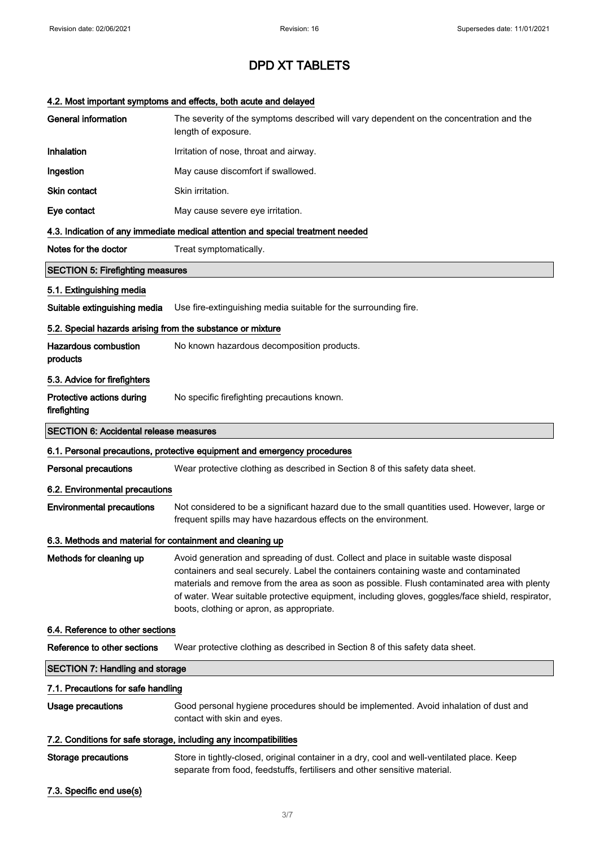### 4.2. Most important symptoms and effects, both acute and delayed

| <b>General information</b>                                        | The severity of the symptoms described will vary dependent on the concentration and the<br>length of exposure.                                                                                                                                                                                                                                                                                                               |  |
|-------------------------------------------------------------------|------------------------------------------------------------------------------------------------------------------------------------------------------------------------------------------------------------------------------------------------------------------------------------------------------------------------------------------------------------------------------------------------------------------------------|--|
| Inhalation                                                        | Irritation of nose, throat and airway.                                                                                                                                                                                                                                                                                                                                                                                       |  |
| Ingestion                                                         | May cause discomfort if swallowed.                                                                                                                                                                                                                                                                                                                                                                                           |  |
| Skin contact                                                      | Skin irritation.                                                                                                                                                                                                                                                                                                                                                                                                             |  |
| Eye contact                                                       | May cause severe eye irritation.                                                                                                                                                                                                                                                                                                                                                                                             |  |
|                                                                   | 4.3. Indication of any immediate medical attention and special treatment needed                                                                                                                                                                                                                                                                                                                                              |  |
| Notes for the doctor                                              | Treat symptomatically.                                                                                                                                                                                                                                                                                                                                                                                                       |  |
| <b>SECTION 5: Firefighting measures</b>                           |                                                                                                                                                                                                                                                                                                                                                                                                                              |  |
| 5.1. Extinguishing media                                          |                                                                                                                                                                                                                                                                                                                                                                                                                              |  |
| Suitable extinguishing media                                      | Use fire-extinguishing media suitable for the surrounding fire.                                                                                                                                                                                                                                                                                                                                                              |  |
| 5.2. Special hazards arising from the substance or mixture        |                                                                                                                                                                                                                                                                                                                                                                                                                              |  |
| Hazardous combustion<br>products                                  | No known hazardous decomposition products.                                                                                                                                                                                                                                                                                                                                                                                   |  |
| 5.3. Advice for firefighters                                      |                                                                                                                                                                                                                                                                                                                                                                                                                              |  |
| Protective actions during<br>firefighting                         | No specific firefighting precautions known.                                                                                                                                                                                                                                                                                                                                                                                  |  |
| <b>SECTION 6: Accidental release measures</b>                     |                                                                                                                                                                                                                                                                                                                                                                                                                              |  |
|                                                                   | 6.1. Personal precautions, protective equipment and emergency procedures                                                                                                                                                                                                                                                                                                                                                     |  |
| <b>Personal precautions</b>                                       | Wear protective clothing as described in Section 8 of this safety data sheet.                                                                                                                                                                                                                                                                                                                                                |  |
| 6.2. Environmental precautions                                    |                                                                                                                                                                                                                                                                                                                                                                                                                              |  |
| <b>Environmental precautions</b>                                  | Not considered to be a significant hazard due to the small quantities used. However, large or<br>frequent spills may have hazardous effects on the environment.                                                                                                                                                                                                                                                              |  |
| 6.3. Methods and material for containment and cleaning up         |                                                                                                                                                                                                                                                                                                                                                                                                                              |  |
| Methods for cleaning up                                           | Avoid generation and spreading of dust. Collect and place in suitable waste disposal<br>containers and seal securely. Label the containers containing waste and contaminated<br>materials and remove from the area as soon as possible. Flush contaminated area with plenty<br>of water. Wear suitable protective equipment, including gloves, goggles/face shield, respirator,<br>boots, clothing or apron, as appropriate. |  |
| 6.4. Reference to other sections                                  |                                                                                                                                                                                                                                                                                                                                                                                                                              |  |
| Reference to other sections                                       | Wear protective clothing as described in Section 8 of this safety data sheet.                                                                                                                                                                                                                                                                                                                                                |  |
| <b>SECTION 7: Handling and storage</b>                            |                                                                                                                                                                                                                                                                                                                                                                                                                              |  |
| 7.1. Precautions for safe handling                                |                                                                                                                                                                                                                                                                                                                                                                                                                              |  |
| Usage precautions                                                 | Good personal hygiene procedures should be implemented. Avoid inhalation of dust and<br>contact with skin and eyes.                                                                                                                                                                                                                                                                                                          |  |
| 7.2. Conditions for safe storage, including any incompatibilities |                                                                                                                                                                                                                                                                                                                                                                                                                              |  |
| Storage precautions                                               | Store in tightly-closed, original container in a dry, cool and well-ventilated place. Keep<br>separate from food, feedstuffs, fertilisers and other sensitive material.                                                                                                                                                                                                                                                      |  |
| 7.3. Specific end use(s)                                          |                                                                                                                                                                                                                                                                                                                                                                                                                              |  |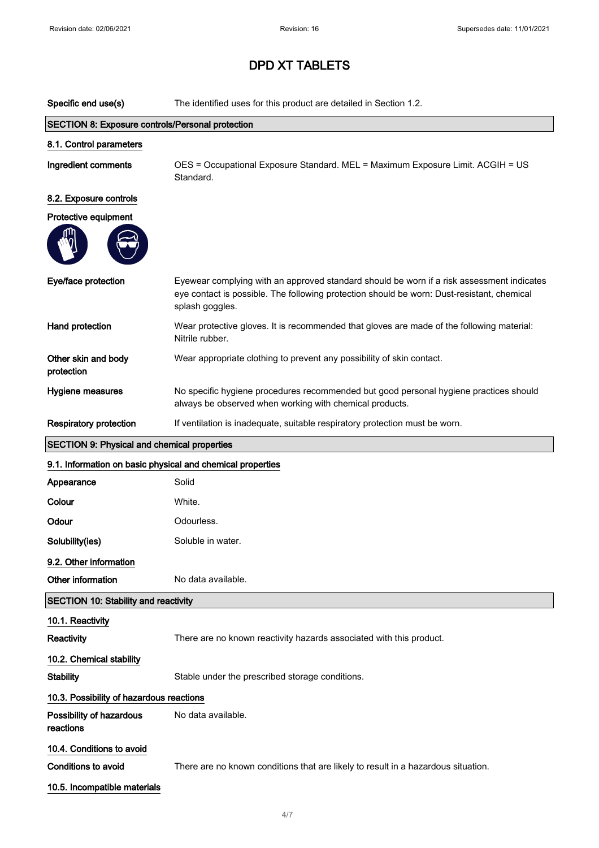| Specific end use(s)                                        | The identified uses for this product are detailed in Section 1.2.                                                                                                                                          |  |  |
|------------------------------------------------------------|------------------------------------------------------------------------------------------------------------------------------------------------------------------------------------------------------------|--|--|
| <b>SECTION 8: Exposure controls/Personal protection</b>    |                                                                                                                                                                                                            |  |  |
| 8.1. Control parameters                                    |                                                                                                                                                                                                            |  |  |
| Ingredient comments                                        | OES = Occupational Exposure Standard. MEL = Maximum Exposure Limit. ACGIH = US<br>Standard.                                                                                                                |  |  |
| 8.2. Exposure controls                                     |                                                                                                                                                                                                            |  |  |
| Protective equipment                                       |                                                                                                                                                                                                            |  |  |
| Eye/face protection                                        | Eyewear complying with an approved standard should be worn if a risk assessment indicates<br>eye contact is possible. The following protection should be worn: Dust-resistant, chemical<br>splash goggles. |  |  |
| Hand protection                                            | Wear protective gloves. It is recommended that gloves are made of the following material:<br>Nitrile rubber.                                                                                               |  |  |
| Other skin and body<br>protection                          | Wear appropriate clothing to prevent any possibility of skin contact.                                                                                                                                      |  |  |
| Hygiene measures                                           | No specific hygiene procedures recommended but good personal hygiene practices should<br>always be observed when working with chemical products.                                                           |  |  |
| <b>Respiratory protection</b>                              | If ventilation is inadequate, suitable respiratory protection must be worn.                                                                                                                                |  |  |
| <b>SECTION 9: Physical and chemical properties</b>         |                                                                                                                                                                                                            |  |  |
| 9.1. Information on basic physical and chemical properties |                                                                                                                                                                                                            |  |  |
| Appearance                                                 | Solid                                                                                                                                                                                                      |  |  |
| Colour                                                     | White.                                                                                                                                                                                                     |  |  |
| Odour                                                      | Odourless.                                                                                                                                                                                                 |  |  |
| Solubility(ies)                                            | Soluble in water.                                                                                                                                                                                          |  |  |
| 9.2. Other information                                     |                                                                                                                                                                                                            |  |  |
| Other information                                          | No data available.                                                                                                                                                                                         |  |  |
| <b>SECTION 10: Stability and reactivity</b>                |                                                                                                                                                                                                            |  |  |
| 10.1. Reactivity                                           |                                                                                                                                                                                                            |  |  |
| Reactivity                                                 | There are no known reactivity hazards associated with this product.                                                                                                                                        |  |  |
| 10.2. Chemical stability                                   |                                                                                                                                                                                                            |  |  |
| <b>Stability</b>                                           | Stable under the prescribed storage conditions.                                                                                                                                                            |  |  |
|                                                            | 10.3. Possibility of hazardous reactions                                                                                                                                                                   |  |  |
| Possibility of hazardous<br>reactions                      | No data available.                                                                                                                                                                                         |  |  |
| 10.4. Conditions to avoid                                  |                                                                                                                                                                                                            |  |  |
| <b>Conditions to avoid</b>                                 | There are no known conditions that are likely to result in a hazardous situation.                                                                                                                          |  |  |
| 10.5. Incompatible materials                               |                                                                                                                                                                                                            |  |  |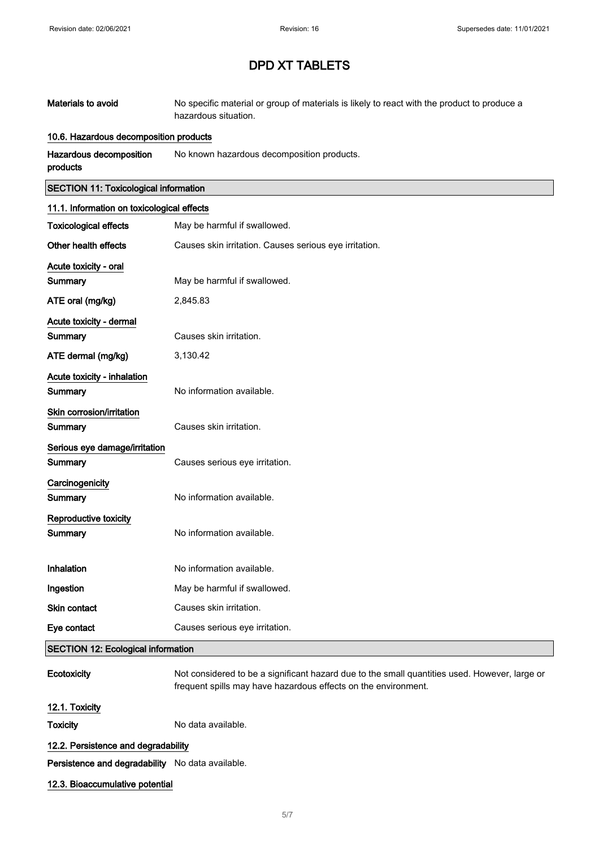| Materials to avoid | No specific material or group of materials is likely to react with the product to produce a |
|--------------------|---------------------------------------------------------------------------------------------|
|                    | hazardous situation.                                                                        |

### 10.6. Hazardous decomposition products

Hazardous decomposition products No known hazardous decomposition products.

### SECTION 11: Toxicological information

| 11.1. Information on toxicological effects |                                                        |
|--------------------------------------------|--------------------------------------------------------|
| <b>Toxicological effects</b>               | May be harmful if swallowed.                           |
| Other health effects                       | Causes skin irritation. Causes serious eye irritation. |
| Acute toxicity - oral                      |                                                        |
| <b>Summary</b>                             | May be harmful if swallowed.                           |
| ATE oral (mg/kg)                           | 2,845.83                                               |
| Acute toxicity - dermal                    |                                                        |
| Summary                                    | Causes skin irritation.                                |
| ATE dermal (mg/kg)                         | 3,130.42                                               |
| Acute toxicity - inhalation                |                                                        |
| Summary                                    | No information available.                              |
| Skin corrosion/irritation                  |                                                        |
| Summary                                    | Causes skin irritation.                                |
| Serious eye damage/irritation              |                                                        |
| Summary                                    | Causes serious eye irritation.                         |
| Carcinogenicity                            |                                                        |
| Summary                                    | No information available.                              |
| Reproductive toxicity                      |                                                        |
| Summary                                    | No information available.                              |
| Inhalation                                 | No information available.                              |
| Ingestion                                  | May be harmful if swallowed.                           |
| Skin contact                               | Causes skin irritation.                                |
| Eye contact                                | Causes serious eye irritation.                         |
| <b>SECTION 12: Ecological information</b>  |                                                        |

Ecotoxicity Not considered to be a significant hazard due to the small quantities used. However, large or frequent spills may have hazardous effects on the environment.

### 12.1. Toxicity

Toxicity **No data available.** 

### 12.2. Persistence and degradability

Persistence and degradability No data available.

### 12.3. Bioaccumulative potential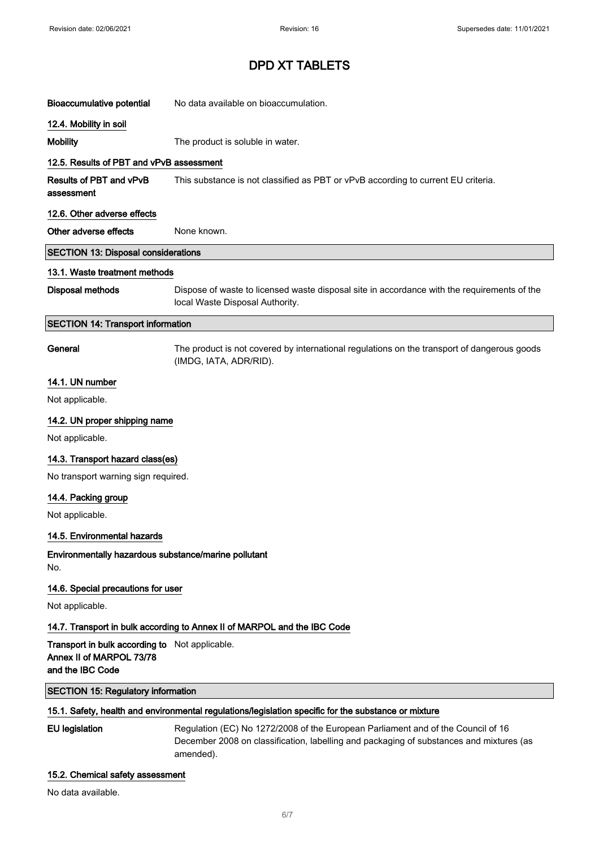| <b>Bioaccumulative potential</b>                                                               | No data available on bioaccumulation.                                                                                                                                                    |
|------------------------------------------------------------------------------------------------|------------------------------------------------------------------------------------------------------------------------------------------------------------------------------------------|
| 12.4. Mobility in soil                                                                         |                                                                                                                                                                                          |
| <b>Mobility</b>                                                                                | The product is soluble in water.                                                                                                                                                         |
| 12.5. Results of PBT and vPvB assessment                                                       |                                                                                                                                                                                          |
| Results of PBT and vPvB<br>assessment                                                          | This substance is not classified as PBT or vPvB according to current EU criteria.                                                                                                        |
| 12.6. Other adverse effects                                                                    |                                                                                                                                                                                          |
| Other adverse effects                                                                          | None known.                                                                                                                                                                              |
| <b>SECTION 13: Disposal considerations</b>                                                     |                                                                                                                                                                                          |
| 13.1. Waste treatment methods                                                                  |                                                                                                                                                                                          |
| <b>Disposal methods</b>                                                                        | Dispose of waste to licensed waste disposal site in accordance with the requirements of the<br>local Waste Disposal Authority.                                                           |
| <b>SECTION 14: Transport information</b>                                                       |                                                                                                                                                                                          |
| General                                                                                        | The product is not covered by international regulations on the transport of dangerous goods<br>(IMDG, IATA, ADR/RID).                                                                    |
| 14.1. UN number                                                                                |                                                                                                                                                                                          |
| Not applicable.                                                                                |                                                                                                                                                                                          |
| 14.2. UN proper shipping name                                                                  |                                                                                                                                                                                          |
| Not applicable.                                                                                |                                                                                                                                                                                          |
| 14.3. Transport hazard class(es)                                                               |                                                                                                                                                                                          |
| No transport warning sign required.                                                            |                                                                                                                                                                                          |
| 14.4. Packing group                                                                            |                                                                                                                                                                                          |
| Not applicable.                                                                                |                                                                                                                                                                                          |
| 14.5. Environmental hazards                                                                    |                                                                                                                                                                                          |
| Environmentally hazardous substance/marine pollutant<br>No.                                    |                                                                                                                                                                                          |
| 14.6. Special precautions for user                                                             |                                                                                                                                                                                          |
| Not applicable.                                                                                |                                                                                                                                                                                          |
|                                                                                                | 14.7. Transport in bulk according to Annex II of MARPOL and the IBC Code                                                                                                                 |
| Transport in bulk according to Not applicable.<br>Annex II of MARPOL 73/78<br>and the IBC Code |                                                                                                                                                                                          |
| <b>SECTION 15: Regulatory information</b>                                                      |                                                                                                                                                                                          |
|                                                                                                | 15.1. Safety, health and environmental regulations/legislation specific for the substance or mixture                                                                                     |
| <b>EU</b> legislation                                                                          | Regulation (EC) No 1272/2008 of the European Parliament and of the Council of 16<br>December 2008 on classification, labelling and packaging of substances and mixtures (as<br>amended). |

### 15.2. Chemical safety assessment

No data available.